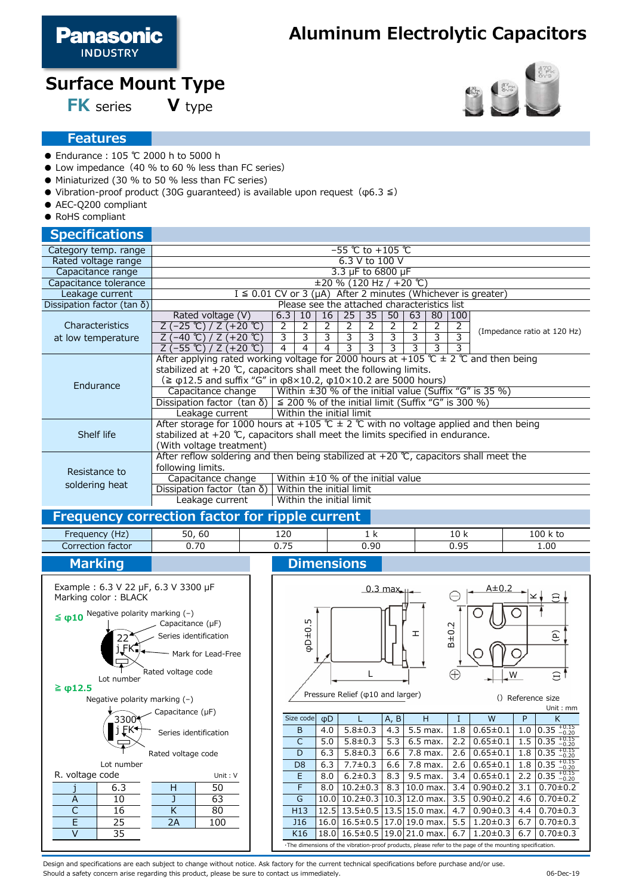# **Aluminum Electrolytic Capacitors**

# **Surface Mount Type**

**FK** series **V** type



# **Features**

- Endurance: 105 ℃ 2000 h to 5000 h
- Low impedance (40 % to 60 % less than FC series)
- Miniaturized (30 % to 50 % less than FC series)
- Vibration-proof product (30G quaranteed) is available upon request ( $\varphi$ 6.3 ≤)
- AEC-Q200 compliant
- RoHS compliant

# **Specifications**

| Category temp. range               |                                                                                                                                                                              |                        |                                              |    |                |    | $-55$ ℃ to +105 ℃ |    |    |     |                                                                   |  |
|------------------------------------|------------------------------------------------------------------------------------------------------------------------------------------------------------------------------|------------------------|----------------------------------------------|----|----------------|----|-------------------|----|----|-----|-------------------------------------------------------------------|--|
| Rated voltage range                | 6.3 V to 100 V                                                                                                                                                               |                        |                                              |    |                |    |                   |    |    |     |                                                                   |  |
| Capacitance range                  | 3.3 µF to 6800 µF                                                                                                                                                            |                        |                                              |    |                |    |                   |    |    |     |                                                                   |  |
| Capacitance tolerance              |                                                                                                                                                                              | ±20 % (120 Hz / +20 ℃) |                                              |    |                |    |                   |    |    |     |                                                                   |  |
| Leakage current                    |                                                                                                                                                                              |                        |                                              |    |                |    |                   |    |    |     | $I \leq 0.01$ CV or 3 (µA) After 2 minutes (Whichever is greater) |  |
| Dissipation factor (tan $\delta$ ) |                                                                                                                                                                              |                        | Please see the attached characteristics list |    |                |    |                   |    |    |     |                                                                   |  |
|                                    | Rated voltage (V)                                                                                                                                                            | 6.3                    | 10                                           | 16 | 25             | 35 | 50                | 63 | 80 | 100 |                                                                   |  |
| Characteristics                    | Z (−25 ℃) $\sqrt{2}$ (+20 ℃)                                                                                                                                                 | $\overline{2}$         | 2                                            | 2  | $\overline{2}$ | 2  | $\overline{2}$    | 2  | 2  | 2   | (Impedance ratio at 120 Hz)                                       |  |
| at low temperature                 | Z (−40 ℃) $\sqrt{2}$ (+20 ℃)                                                                                                                                                 | 3                      | 3                                            | 3  | 3              | 3  | 3                 | 3  | 3  |     |                                                                   |  |
|                                    | $Z (-55 °C) / Z (+20 °C)$                                                                                                                                                    | $\overline{4}$         | 4                                            | 4  | 3              | 3  | 3                 | 3. | 3  | 3   |                                                                   |  |
|                                    | After applying rated working voltage for 2000 hours at +105 $C \pm 2$ $C$ and then being                                                                                     |                        |                                              |    |                |    |                   |    |    |     |                                                                   |  |
|                                    | stabilized at $+20$ °C, capacitors shall meet the following limits.                                                                                                          |                        |                                              |    |                |    |                   |    |    |     |                                                                   |  |
| Endurance                          | $(≥ φ12.5 and suffix "G" in φ8×10.2, φ10×10.2 are 5000 hours)$                                                                                                               |                        |                                              |    |                |    |                   |    |    |     |                                                                   |  |
|                                    | Capacitance change Within $\pm 30$ % of the initial value (Suffix "G" is 35 %)<br>Dissipation factor (tan $\delta$ ) $\leq 200$ % of the initial limit (Suffix "G" is 300 %) |                        |                                              |    |                |    |                   |    |    |     |                                                                   |  |
|                                    |                                                                                                                                                                              |                        |                                              |    |                |    |                   |    |    |     |                                                                   |  |
|                                    | Within the initial limit<br>Leakage current                                                                                                                                  |                        |                                              |    |                |    |                   |    |    |     |                                                                   |  |
|                                    | After storage for 1000 hours at +105 $\mathcal{C} \pm 2 \mathcal{C}$ with no voltage applied and then being                                                                  |                        |                                              |    |                |    |                   |    |    |     |                                                                   |  |
| Shelf life                         | stabilized at $+20$ $\degree$ C, capacitors shall meet the limits specified in endurance.                                                                                    |                        |                                              |    |                |    |                   |    |    |     |                                                                   |  |
|                                    | (With voltage treatment)                                                                                                                                                     |                        |                                              |    |                |    |                   |    |    |     |                                                                   |  |
|                                    | After reflow soldering and then being stabilized at +20 $\degree$ C, capacitors shall meet the                                                                               |                        |                                              |    |                |    |                   |    |    |     |                                                                   |  |
| Resistance to                      | following limits.                                                                                                                                                            |                        |                                              |    |                |    |                   |    |    |     |                                                                   |  |
|                                    | Capacitance change                                                                                                                                                           |                        | Within $\pm 10$ % of the initial value       |    |                |    |                   |    |    |     |                                                                   |  |
| soldering heat                     | Dissipation factor (tan $\delta$ )                                                                                                                                           |                        | Within the initial limit                     |    |                |    |                   |    |    |     |                                                                   |  |
|                                    | Leakage current                                                                                                                                                              |                        | Within the initial limit                     |    |                |    |                   |    |    |     |                                                                   |  |

# **Frequency correction factor for ripple current**



Design and specifications are each subject to change without notice. Ask factory for the current technical specifications before purchase and/or use. Should a safety concern arise regarding this product, please be sure to contact us immediately. 06-Dec-19 06-Dec-19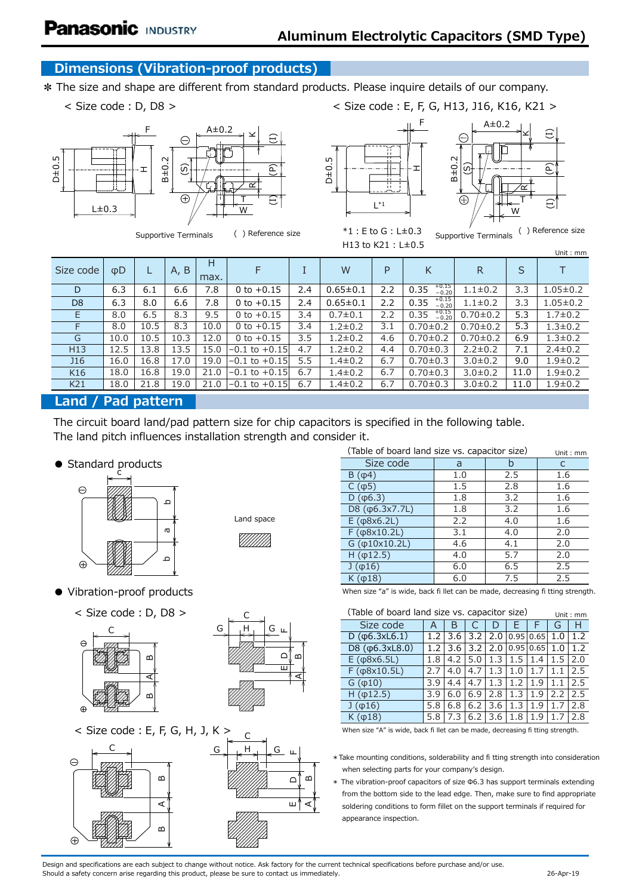# **Dimensions (Vibration-proof products)**

✽ The size and shape are different from standard products. Please inquire details of our company.

< Size code:D, D8 > < Size code:E, F, G, H13, J16, K16, K21 >



Supportive Terminals ( ) Reference size





 $*1: E$  to  $G: L\pm 0.3$ H13 to K21 : L±0.5

Supportive Terminals ( ) Reference size

|                                   |                          |      |      |           |                   |     |                |     |                            |                |      | Unit: mm       |
|-----------------------------------|--------------------------|------|------|-----------|-------------------|-----|----------------|-----|----------------------------|----------------|------|----------------|
| Size code                         | ΦD                       |      | A, B | H<br>max. | F                 |     | W              | P   | K                          | R              | S    |                |
| D                                 | 6.3                      | 6.1  | 6.6  | 7.8       | 0 to $+0.15$      | 2.4 | $0.65 \pm 0.1$ | 2.2 | $+0.15$<br>0.35<br>$-0.20$ | $1.1 \pm 0.2$  | 3.3  | $1.05 \pm 0.2$ |
| D <sub>8</sub>                    | 6.3                      | 8.0  | 6.6  | 7.8       | 0 to $+0.15$      | 2.4 | $0.65 \pm 0.1$ | 2.2 | $+0.15$<br>0.35<br>$-0.20$ | $1.1 \pm 0.2$  | 3.3  | $1.05 \pm 0.2$ |
| E.                                | 8.0                      | 6.5  | 8.3  | 9.5       | 0 to $+0.15$      | 3.4 | $0.7 \pm 0.1$  | 2.2 | $+0.15$<br>0.35<br>$-0.20$ | $0.70 \pm 0.2$ | 5.3  | $1.7 \pm 0.2$  |
| F                                 | 8.0                      | 10.5 | 8.3  | 10.0      | 0 to $+0.15$      | 3.4 | $1.2 \pm 0.2$  | 3.1 | $0.70 \pm 0.2$             | $0.70 \pm 0.2$ | 5.3  | $1.3 \pm 0.2$  |
| G                                 | 10.0                     | 10.5 | 10.3 | 12.0      | 0 to $+0.15$      | 3.5 | $1.2 \pm 0.2$  | 4.6 | $0.70 \pm 0.2$             | $0.70 \pm 0.2$ | 6.9  | $1.3 \pm 0.2$  |
| H <sub>13</sub>                   | 12.5                     | 13.8 | 13.5 | 15.0      | $-0.1$ to $+0.15$ | 4.7 | $1.2 \pm 0.2$  | 4.4 | $0.70 \pm 0.3$             | $2.2 \pm 0.2$  | 7.1  | $2.4 \pm 0.2$  |
| J16                               | 16.0                     | 16.8 | 17.0 | 19.0      | $-0.1$ to $+0.15$ | 5.5 | $1.4 \pm 0.2$  | 6.7 | $0.70 \pm 0.3$             | $3.0 \pm 0.2$  | 9.0  | $1.9 \pm 0.2$  |
| K16                               | 18.0                     | 16.8 | 19.0 | 21.0      | $-0.1$ to $+0.15$ | 6.7 | $1.4 \pm 0.2$  | 6.7 | $0.70 \pm 0.3$             | $3.0 \pm 0.2$  | 11.0 | $1.9 + 0.2$    |
| K21                               | 18.0                     | 21.8 | 19.0 | 21.0      | $-0.1$ to $+0.15$ | 6.7 | $1.4 \pm 0.2$  | 6.7 | $0.70 \pm 0.3$             | $3.0 \pm 0.2$  | 11.0 | $1.9 + 0.2$    |
| <b>Contract Contract Contract</b> | <b>Contract Contract</b> |      |      |           |                   |     |                |     |                            |                |      |                |

# **Land / Pad pattern**

The circuit board land/pad pattern size for chip capacitors is specified in the following table. The land pitch influences installation strength and consider it.

 $\bullet$  Standard products



Land space

 $\leq$  Size code : D, D8  $>$  (Table of board land size vs. capacitor size) Unit:





 $\Gamma$ 



| (Table of board land size vs. capacitor size)<br>Unit: mm |     |     |     |  |  |  |  |  |  |  |  |
|-----------------------------------------------------------|-----|-----|-----|--|--|--|--|--|--|--|--|
| Size code                                                 | a   | h   | C   |  |  |  |  |  |  |  |  |
| $B(\phi 4)$                                               | 1.0 | 2.5 | 1.6 |  |  |  |  |  |  |  |  |
| $C(\phi5)$                                                | 1.5 | 2.8 | 1.6 |  |  |  |  |  |  |  |  |
| D ( $\phi$ 6.3)                                           | 1.8 | 3.2 | 1.6 |  |  |  |  |  |  |  |  |
| D8 (φ6.3x7.7L)                                            | 1.8 | 3.2 | 1.6 |  |  |  |  |  |  |  |  |
| $E$ ( $\phi$ 8x6.2L)                                      | 2.2 | 4.0 | 1.6 |  |  |  |  |  |  |  |  |
| $F$ ( $\phi$ 8x10.2L)                                     | 3.1 | 4.0 | 2.0 |  |  |  |  |  |  |  |  |
| $G$ ( $\phi$ 10x10.2L)                                    | 4.6 | 4.1 | 2.0 |  |  |  |  |  |  |  |  |
| $H(\phi12.5)$                                             | 4.0 | 5.7 | 2.0 |  |  |  |  |  |  |  |  |
| $J(\phi16)$                                               | 6.0 | 6.5 | 2.5 |  |  |  |  |  |  |  |  |
| $K(\phi18)$                                               | 6.0 | 7.5 | 2.5 |  |  |  |  |  |  |  |  |

● Vibration-proof products when size "a" is wide, back fi llet can be made, decreasing fi tting strength.

| (Table of board land size vs. capacitor size)<br>Unit: mm |     |             |     |     |                   |           |     |     |  |  |  |  |  |
|-----------------------------------------------------------|-----|-------------|-----|-----|-------------------|-----------|-----|-----|--|--|--|--|--|
| Size code                                                 | А   | в           |     |     |                   |           | G   |     |  |  |  |  |  |
| D $(φ6.3xL6.1)$                                           |     | $1.2$   3.6 | 3.2 | 2.0 |                   | 0.95 0.65 | 1.0 | 1.2 |  |  |  |  |  |
| D8 (φ6.3xL8.0)                                            |     | 3.6         | 3.2 | 2.0 |                   | 0.95 0.65 | 1.0 | 1.2 |  |  |  |  |  |
| $E$ ( $\phi$ 8x6.5L)                                      | 1.8 | 4.2         | 5.0 | 1.3 | $1.5 \,   \, 1.4$ |           | 1.5 | 2.0 |  |  |  |  |  |
| $F$ ( $\phi$ 8x10.5L)                                     | 2.7 | 4.0         | 4.7 | 1.3 | 1.0               | 1.7       | 1.1 | 2.5 |  |  |  |  |  |
| $G(\phi10)$                                               | 3.9 | 4.4         | 4.7 | 1.3 | 1.2               | 1.9       |     | 2.5 |  |  |  |  |  |
| $H$ (φ12.5)                                               | 3.9 | 6.0         | 6.9 | 2.8 | 1.3               | 1.9       | 2.2 | 2.5 |  |  |  |  |  |
| $J(\phi16)$                                               | 5.8 | 6.8         | 6.2 | 3.6 | 1.3               | 1.9       |     | 2.8 |  |  |  |  |  |
| $K(\phi18)$                                               | 5.8 | 7.3         | 6.2 | 3.6 | 1.8               | 1.9       |     | 2.8 |  |  |  |  |  |

 $\leq$  Size code: E, F, G, H, J, K  $>$ 

- \*Take mounting conditions, solderability and fi tting strength into consideration when selecting parts for your company's design.
- The vibration-proof capacitors of size Φ6.3 has support terminals extending from the bottom side to the lead edge. Then, make sure to find appropriate soldering conditions to form fillet on the support terminals if required for appearance inspection.

Design and specifications are each subject to change without notice. Ask factory for the current technical specifications before purchase and/or use. Should a safety concern arise regarding this product, please be sure to contact us immediately.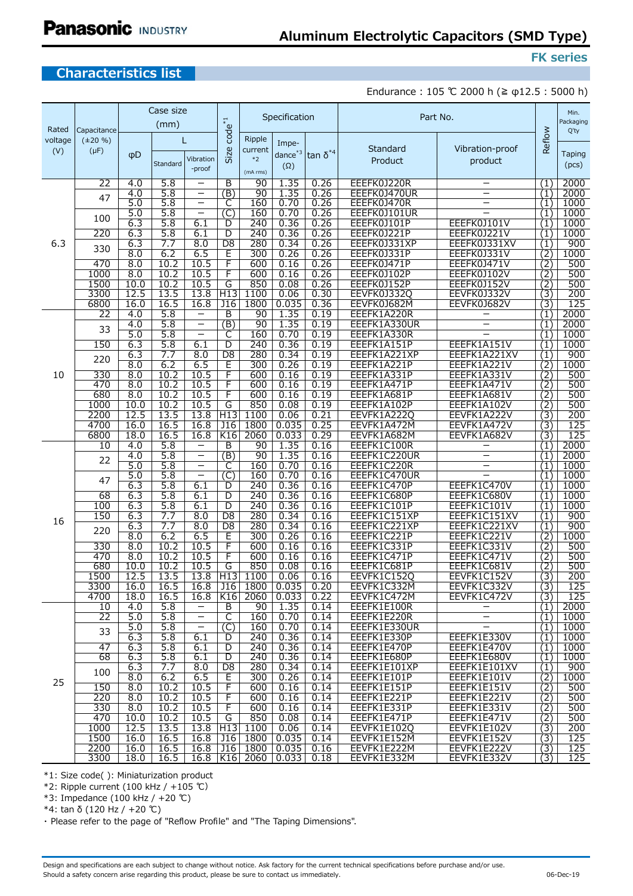# **Characteristics list**

**FK series**

# Endurance : 105 ℃ 2000 h (≧ φ12.5 : 5000 h)

|         |                 |                         | Case size               |                               |                                  | Specification  |                |                       | Part No.                     |                              |                         | Min.         |
|---------|-----------------|-------------------------|-------------------------|-------------------------------|----------------------------------|----------------|----------------|-----------------------|------------------------------|------------------------------|-------------------------|--------------|
| Rated   | Capacitance     |                         | (mm)                    |                               |                                  |                |                |                       |                              |                              |                         | Packaging    |
| voltage | $(\pm 20\% )$   |                         |                         | L                             | $code^*1$                        | Ripple         | Impe-          |                       |                              |                              | Reflow                  | Q'ty         |
| (V)     | $(\mu F)$       | $\phi$ D                |                         |                               | Size                             | current        | $dance*3$      | $tan δ$ <sup>*4</sup> | Standard                     | Vibration-proof              |                         | Taping       |
|         |                 |                         | Standard                | Vibration<br>-proof           |                                  | $*2$           | $(\Omega)$     |                       | Product                      | product                      |                         | (pcs)        |
|         | $\overline{22}$ | 4.0                     | 5.8                     | -                             | B                                | (mA rms)<br>90 | 1.35           | 0.26                  | EEEFK0J220R                  | $\overline{\phantom{m}}$     | (1)                     | 2000         |
|         |                 | 4.0                     | 5.8                     | -                             | (B)                              | 90             | 1.35           | 0.26                  | EEEFK0J470UR                 | —                            | (1)                     | 2000         |
|         | 47              | 5.0                     | 5.8                     | $\overline{\phantom{0}}$      | С                                | 160            | 0.70           | 0.26                  | EEEFK0J470R                  | $\overline{\phantom{0}}$     | (1)                     | 1000         |
|         | 100             | 5.0                     | 5.8                     | -                             | (C                               | 160            | 0.70           | 0.26                  | EEEFK0J101UR                 | <u>—</u>                     | (1)                     | 1000         |
|         | 220             | 6.3<br>6.3              | 5.8<br>$\overline{5.8}$ | 6.1<br>6.1                    | D<br>D                           | 240<br>240     | 0.36<br>0.36   | 0.26<br>0.26          | EEEFK0J101P<br>EEEFK0J221P   | EEEFK0J101V<br>EEEFK0J221V   | (1)<br>(1)              | 1000<br>1000 |
| 6.3     | 330             | 6.3                     | 7.7                     | 8.0                           | $\overline{D8}$                  | 280            | 0.34           | 0.26                  | EEEFK0J331XP                 | EEEFK0J331XV                 | (1)                     | 900          |
|         |                 | 8.0                     | 6.2                     | 6.5                           | Е                                | 300            | 0.26           | 0.26                  | EEEFK0J331P                  | EEEFK0J331V                  | (2)                     | 1000         |
|         | 470<br>1000     | 8.0<br>8.0              | 10.2<br>10.2            | 10.5<br>10.5                  | F<br>F                           | 600<br>600     | 0.16<br>0.16   | 0.26<br>0.26          | EEEFK0J471P<br>EEEFK0J102P   | EEEFK0J471V<br>EEEFK0J102V   | (2)<br>(2)              | 500<br>500   |
|         | 1500            | 10.0                    | 10.2                    | 10.5                          | G                                | 850            | 0.08           | 0.26                  | EEEFK0J152P                  | EEEFK0J152V                  | (2)                     | 500          |
|         | 3300            | 12.5                    | 13.5                    | 13.8                          | H13                              | 1100           | 0.06           | 0.30                  | <b>EEVFK0J332Q</b>           | EEVFK0J332V                  | $\overline{(3)}$        | 200          |
|         | 6800            | 16.0                    | 16.5                    | 16.8                          | <b>J16</b>                       | 1800           | 0.035          | 0.36                  | EEVFK0J682M                  | EEVFK0J682V                  | $\overline{(3)}$        | 125          |
|         | 22              | $\overline{4.0}$<br>4.0 | 5.8<br>5.8              | —<br>$\equiv$                 | B<br>(B)                         | 90<br>90       | 1.35<br>1.35   | 0.19<br>0.19          | EEEFK1A220R<br>EEEFK1A330UR  | —                            | (1)<br>(1)              | 2000<br>2000 |
|         | 33              | 5.0                     | 5.8                     | -                             | С                                | 160            | 0.70           | 0.19                  | EEEFK1A330R                  |                              | (1)                     | 1000         |
|         | 150             | 6.3                     | 5.8                     | 6.1                           | $\overline{D}$                   | 240            | 0.36           | 0.19                  | EEEFK1A151P                  | EEEFK1A151V                  | $\overline{(1)}$        | 1000         |
|         | 220             | 6.3                     | 7.7                     | 8.0                           | $\overline{D8}$                  | 280            | 0.34           | 0.19                  | EEEFK1A221XP                 | EEEFK1A221XV                 | (1)                     | 900          |
|         | 330             | 8.0                     | 6.2<br>10.2             | 6.5<br>10.5                   | Ε<br>F                           | 300<br>600     | 0.26<br>0.16   | 0.19                  | EEEFK1A221P                  | EEEFK1A221V<br>EEEFK1A331V   | $\overline{(2)}$        | 1000<br>500  |
| 10      | 470             | 8.0<br>8.0              | 10.2                    | 10.5                          | F                                | 600            | 0.16           | 0.19<br>0.19          | EEEFK1A331P<br>EEEFK1A471P   | EEEFK1A471V                  | $\overline{(2)}$<br>(2) | 500          |
|         | 680             | 8.0                     | 10.2                    | 10.5                          | F                                | 600            | 0.16           | 0.19                  | EEEFK1A681P                  | EEEFK1A681V                  | (2)                     | 500          |
|         | 1000            | 10.0                    | 10.2                    | 10.5                          | G                                | 850            | 0.08           | 0.19                  | EEEFK1A102P                  | EEEFK1A102V                  | (2)                     | 500          |
|         | 2200<br>4700    | 12.5<br>16.0            | 13.5<br>16.5            | 13.8                          | H <sub>13</sub>                  | 1100<br>1800   | 0.06           | 0.21<br>0.25          | EEVFK1A222Q<br>EEVFK1A472M   | EEVFK1A222V<br>EEVFK1A472V   | 3)<br>$\overline{(3)}$  | 200<br>125   |
|         | 6800            | 18.0                    | 16.5                    | 16.8<br>16.8                  | J16<br>K16                       | 2060           | 0.035<br>0.033 | 0.29                  | EEVFK1A682M                  | EEVFK1A682V                  | $\overline{3)}$         | 125          |
|         | 10              | 4.0                     | 5.8                     | -                             | B                                | 90             | 1.35           | 0.16                  | EEEFK1C100R                  |                              | (1)                     | 2000         |
|         | 22              | $\overline{4.0}$        | 5.8                     | -                             | (B)                              | 90             | 1.35           | 0.16                  | EEEFK1C220UR                 | —                            | (1)                     | 2000         |
|         |                 | 5.0<br>5.0              | 5.8<br>5.8              | —<br>-                        | С<br>(C                          | 160<br>160     | 0.70<br>0.70   | 0.16<br>0.16          | EEEFK1C220R<br>EEEFK1C470UR  | —                            | (1)<br>(1)              | 1000<br>1000 |
|         | 47              | 6.3                     | 5.8                     | 6.1                           | D                                | 240            | 0.36           | 0.16                  | EEEFK1C470P                  | EEEFK1C470V                  | (1)                     | 1000         |
|         | 68              | 6.3                     | 5.8                     | 6.1                           | D                                | 240            | 0.36           | 0.16                  | EEEFK1C680P                  | EEEFK1C680V                  | (1)                     | 1000         |
|         | 100             | 6.3                     | 5.8                     | 6.1                           | D                                | 240            | 0.36           | 0.16                  | EEEFK1C101P                  | EEEFK1C101V                  | (1)                     | 1000         |
| 16      | 150             | 6.3<br>6.3              | 7.7<br>7.7              | 8.0<br>8.0                    | D <sub>8</sub><br>D <sub>8</sub> | 280<br>280     | 0.34<br>0.34   | 0.16<br>0.16          | EEEFK1C151XP<br>EEEFK1C221XP | EEEFK1C151XV<br>EEEFK1C221XV | (1)<br>(1)              | 900<br>900   |
|         | 220             | 8.0                     | 6.2                     | 6.5                           | Ε                                | 300            | 0.26           | 0.16                  | EEEFK1C221P                  | EEEFK1C221V                  | $\overline{(2)}$        | 1000         |
|         | 330             | 8.0                     | 10.2                    | 10.5                          | F                                | 600            | 0.16           | 0.16                  | EEEFK1C331P                  | EEEFK1C331V                  | (2)                     | 500          |
|         | 470             | 8.0                     | 10.2                    | 10.5                          | F                                | 600            | 0.16           | 0.16                  | EEEFK1C471P                  | EEEFK1C471V                  | $\overline{(2)}$        | 500          |
|         | 680<br>1500     | 10.0<br>12.5            | 10.2<br>13.5            | 10.5<br>13.8                  | G<br>H13                         | 850<br>1100    | 0.08<br>0.06   | 0.16<br>0.16          | EEEFK1C681P<br>EEVFK1C152Q   | EEEFK1C681V<br>EEVFK1C152V   | (2)<br>(3)              | 500<br>200   |
|         | 3300            | 16.0                    | 16.5                    | 16.8                          | J16                              | 1800           | 0.035          | 0.20                  | EEVFK1C332M                  | EEVFK1C332V                  | (3)                     | 125          |
|         | 4700            | 18.0                    | 16.5                    | 16.8                          | K16                              | 2060           | 0.033          | 0.22                  | EEVFK1C472M                  | EEVFK1C472V                  | (3)                     | 125          |
|         | 10              | 4.0                     | 5.8                     |                               | B                                | 90             | 1.35           | 0.14                  | EEEFK1E100R                  |                              | (1)                     | 2000         |
|         | 22              | 5.0<br>5.0              | 5.8<br>5.8              | -<br>$\overline{\phantom{0}}$ | С<br>$\overline{\text{(C)}}$     | 160<br>160     | 0.70<br>0.70   | 0.14<br>0.14          | EEEFK1E220R<br>EEEFK1E330UR  | $\qquad \qquad -$<br>—       | (1)<br>(1)              | 1000<br>1000 |
|         | 33              | 6.3                     | 5.8                     | 6.1                           | D                                | 240            | 0.36           | 0.14                  | EEEFK1E330P                  | EEEFK1E330V                  | (1)                     | 1000         |
|         | 47              | 6.3                     | 5.8                     | 6.1                           | D                                | 240            | 0.36           | 0.14                  | EEEFK1E470P                  | EEEFK1E470V                  | (1)                     | 1000         |
|         | 68              | 6.3                     | 5.8                     | 6.1                           | D                                | 240            | 0.36           | 0.14                  | EEEFK1E680P                  | EEEFK1E680V                  | (1)                     | 1000         |
|         | 100             | 6.3<br>8.0              | 7.7<br>6.2              | 8.0<br>6.5                    | D <sub>8</sub><br>E              | 280<br>300     | 0.34<br>0.26   | 0.14<br>0.14          | EEEFK1E101XP<br>EEEFK1E101P  | EEEFK1E101XV<br>EEEFK1E101V  | (1)<br>(2)              | 900<br>1000  |
| 25      | 150             | 8.0                     | 10.2                    | 10.5                          | F                                | 600            | 0.16           | 0.14                  | EEEFK1E151P                  | EEEFK1E151V                  | $\overline{(2)}$        | 500          |
|         | 220             | 8.0                     | 10.2                    | 10.5                          | F                                | 600            | 0.16           | 0.14                  | EEEFK1E221P                  | EEEFK1E221V                  | (2)                     | 500          |
|         | 330             | 8.0                     | 10.2                    | 10.5                          | F                                | 600            | 0.16           | 0.14                  | EEEFK1E331P                  | EEEFK1E331V                  | $\overline{(2)}$        | 500          |
|         | 470<br>1000     | 10.0<br>12.5            | 10.2<br>13.5            | 10.5<br>13.8                  | G<br>H13                         | 850<br>1100    | 0.08<br>0.06   | 0.14<br>0.14          | EEEFK1E471P<br>EEVFK1E102Q   | EEEFK1E471V<br>EEVFK1E102V   | (2)<br>$\overline{(3)}$ | 500<br>200   |
|         | 1500            | 16.0                    | 16.5                    | 16.8                          | J16                              | 1800           | 0.035          | 0.14                  | EEVFK1E152M                  | EEVFK1E152V                  | (3)                     | 125          |
|         | 2200            | 16.0                    | 16.5                    | 16.8                          | J16                              | 1800           | 0.035          | 0.16                  | EEVFK1E222M                  | EEVFK1E222V                  | (3)                     | 125          |
|         | 3300            | 18.0                    | 16.5                    | 16.8                          | K16                              | 2060           | 0.033          | 0.18                  | EEVFK1E332M                  | EEVFK1E332V                  | (3)                     | 125          |

\*1: Size code( ): Miniaturization product

\*2: Ripple current (100 kHz / +105 ℃)

\*3: Impedance (100 kHz / +20 ℃)

\*4: tan δ (120 Hz / +20 ℃)

・ Please refer to the page of "Reflow Profile" and "The Taping Dimensions".

Design and specifications are each subject to change without notice. Ask factory for the current technical specifications before purchase and/or use. Should a safety concern arise regarding this product, please be sure to contact us immediately. 06-Dec-19 06-Dec-19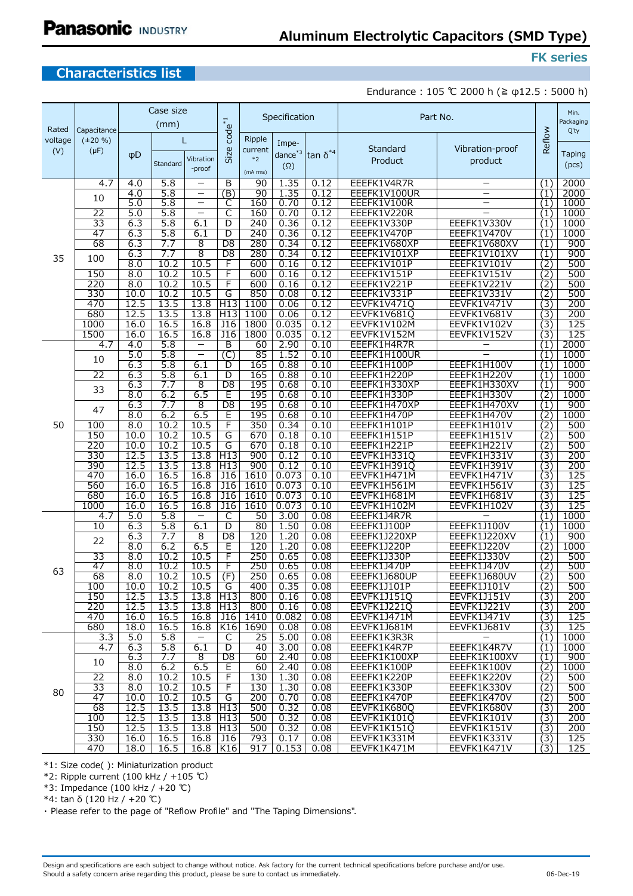# **Characteristics list**

**FK series**

## Endurance : 105 ℃ 2000 h (≧ φ12.5 : 5000 h)

|                  |                              |            | Case size  |                                |                      | Specification<br>Part No. |              |                   |                             | Min.                        |                         |                 |
|------------------|------------------------------|------------|------------|--------------------------------|----------------------|---------------------------|--------------|-------------------|-----------------------------|-----------------------------|-------------------------|-----------------|
|                  |                              |            | (mm)       |                                | $code^*1$            |                           |              |                   |                             |                             |                         | Packaging       |
| Rated<br>voltage | Capacitance<br>$(\pm 20\% )$ |            |            |                                |                      | Ripple                    |              |                   |                             |                             | Reflow                  | Q'ty            |
| (V)              | $(\mu F)$                    |            |            | L                              |                      | current                   | Impe-        |                   | Standard                    | Vibration-proof             |                         |                 |
|                  |                              | $\phi$ D   | Standard   | Vibration                      | Size                 | $*2$                      | $dance*3$    | tan $\delta^{*4}$ | Product                     | product                     |                         | Taping<br>(pcs) |
|                  |                              |            |            | -proof                         |                      | (mA rms)                  | $(\Omega)$   |                   |                             |                             |                         |                 |
|                  | 4.7                          | 4.0        | 5.8        | -                              | $\overline{B}$       | $\overline{90}$           | 1.35         | 0.12              | EEEFK1V4R7R                 | $\qquad \qquad -$           | (1)                     | 2000            |
|                  | 10                           | 4.0        | 5.8        | -                              | (B)                  | 90                        | 1.35         | 0.12              | EEEFK1V100UR                | —                           | (1)                     | 2000            |
|                  |                              | 5.0        | 5.8<br>5.8 | $\overline{\phantom{0}}$       | C                    | 160                       | 0.70         | 0.12              | EEEFK1V100R                 | $\overline{\phantom{0}}$    | (1)                     | 1000            |
|                  | $\overline{22}$<br>33        | 5.0<br>6.3 | 5.8        | 6.1                            | С<br>D               | 160<br>240                | 0.70<br>0.36 | 0.12<br>0.12      | EEEFK1V220R<br>EEEFK1V330P  | EEEFK1V330V                 | (1)<br>(1)              | 1000<br>1000    |
|                  | 47                           | 6.3        | 5.8        | 6.1                            | $\overline{D}$       | 240                       | 0.36         | 0.12              | EEEFK1V470P                 | EEEFK1V470V                 | (1)                     | 1000            |
|                  | 68                           | 6.3        | 7.7        | 8                              | $\overline{D8}$      | 280                       | 0.34         | 0.12              | EEEFK1V680XP                | EEEFK1V680XV                | (1)                     | 900             |
|                  |                              | 6.3        | 7.7        | 8                              | $\overline{D8}$      | 280                       | 0.34         | 0.12              | EEEFK1V101XP                | EEEFK1V101XV                | $\overline{(1)}$        | 900             |
| 35               | 100                          | 8.0        | 10.2       | 10.5                           | F                    | 600                       | 0.16         | 0.12              | EEEFK1V101P                 | EEEFK1V101V                 | (2)                     | 500             |
|                  | 150                          | 8.0        | 10.2       | 10.5                           | F                    | 600                       | 0.16         | 0.12              | EEEFK1V151P                 | EEEFK1V151V                 | (2)                     | 500             |
|                  | 220                          | 8.0        | 10.2       | 10.5                           | F                    | 600                       | 0.16         | 0.12              | EEEFK1V221P                 | EEEFK1V221V                 | (2)                     | 500             |
|                  | 330                          | 10.0       | 10.2       | 10.5                           | G                    | 850                       | 0.08         | 0.12              | EEEFK1V331P                 | EEEFK1V331V                 | $\overline{(2)}$        | 500             |
|                  | 470                          | 12.5       | 13.5       | 13.8                           | H13                  | 1100                      | 0.06         | 0.12              | EEVFK1V471Q                 | EEVFK1V471V                 | $\overline{3)}$         | 200             |
|                  | 680                          | 12.5       | 13.5       | 13.8                           | H13                  | 1100                      | 0.06         | 0.12              | EEVFK1V681Q                 | EEVFK1V681V                 | $\overline{(3)}$        | 200             |
|                  | 1000                         | 16.0       | 16.5       | 16.8                           | J16                  | 1800                      | 0.035        | 0.12              | EEVFK1V102M                 | EEVFK1V102V                 | $\overline{(3)}$        | 125             |
|                  | 1500                         | 16.0       | 16.5       | 16.8                           | <b>J16</b>           | 1800                      | 0.035        | 0.12              | EEVFK1V152M                 | EEVFK1V152V                 | $\overline{3)}$         | 125             |
|                  | 4.7                          | 4.0        | 5.8        |                                | B                    | 60                        | 2.90         | 0.10              | EEEFK1H4R7R                 |                             | (1)                     | 2000            |
|                  | 10                           | 5.0        | 5.8        | -                              | (C                   | 85                        | 1.52         | 0.10              | EEEFK1H100UR                |                             | (1)                     | 1000            |
|                  |                              | 6.3        | 5.8        | 6.1                            | D                    | 165                       | 0.88         | 0.10              | EEEFK1H100P                 | EEEFK1H100V                 | (1)                     | 1000            |
|                  | $\overline{22}$              | 6.3        | 5.8        | 6.1                            | $\overline{D}$       | 165                       | 0.88         | 0.10              | EEEFK1H220P                 | EEEFK1H220V                 | $\overline{(1)}$        | 1000            |
|                  | 33                           | 6.3        | 7.7<br>6.2 | $\overline{8}$<br>6.5          | $\overline{D8}$<br>Έ | 195<br>195                | 0.68         | 0.10              | EEEFK1H330XP                | EEEFK1H330XV                | (1)                     | 900<br>1000     |
|                  |                              | 8.0        | 7.7        |                                |                      |                           | 0.68         | 0.10              | EEEFK1H330P                 | EEEFK1H330V                 | (2)                     |                 |
|                  | 47                           | 6.3<br>8.0 | 6.2        | 8<br>6.5                       | D <sub>8</sub><br>Е  | 195<br>195                | 0.68<br>0.68 | 0.10<br>0.10      | EEEFK1H470XP<br>EEEFK1H470P | EEEFK1H470XV<br>EEEFK1H470V | (1)<br>$\overline{(2)}$ | 900<br>1000     |
| 50               | 100                          | 8.0        | 10.2       | 10.5                           | F                    | 350                       | 0.34         | 0.10              | EEEFK1H101P                 | EEEFK1H101V                 | (2)                     | 500             |
|                  | 150                          | 10.0       | 10.2       | 10.5                           | G                    | 670                       | 0.18         | 0.10              | EEEFK1H151P                 | EEEFK1H151V                 | $\overline{(2)}$        | 500             |
|                  | 220                          | 10.0       | 10.2       | 10.5                           | G                    | 670                       | 0.18         | 0.10              | EEEFK1H221P                 | EEEFK1H221V                 | $\overline{(2)}$        | 500             |
|                  | 330                          | 12.5       | 13.5       | 13.8                           | H <sub>13</sub>      | 900                       | 0.12         | 0.10              | EEVFK1H331Q                 | EEVFK1H331V                 | $\left(3\right)$        | 200             |
|                  | 390                          | 12.5       | 13.5       | 13.8                           | H13                  | 900                       | 0.12         | 0.10              | EEVFK1H391Q                 | EEVFK1H391V                 | $\overline{(3)}$        | 200             |
|                  | 470                          | 16.0       | 16.5       | 16.8                           | <b>J16</b>           | 1610                      | 0.073        | 0.10              | EEVFK1H471M                 | EEVFK1H471V                 | (3)                     | 125             |
|                  | 560                          | 16.0       | 16.5       | 16.8                           | <b>J16</b>           | 1610                      | 0.073        | 0.10              | EEVFK1H561M                 | EEVFK1H561V                 | (3)                     | 125             |
|                  | 680                          | 16.0       | 16.5       | 16.8                           | <b>J16</b>           | 1610                      | 0.073        | 0.10              | EEVFK1H681M                 | EEVFK1H681V                 | $\overline{(3)}$        | 125             |
|                  | 1000                         | 16.0       | 16.5       | 16.8                           | J16                  | 1610                      | 0.073        | 0.10              | EEVFK1H102M                 | EEVFK1H102V                 | (3)                     | 125             |
|                  | 4.7                          | 5.0        | 5.8        | $\qquad \qquad \longleftarrow$ | C                    | 50                        | 3.00         | 0.08              | EEEFK1J4R7R                 |                             | $\overline{(1)}$        | 1000            |
|                  | 10                           | 6.3        | 5.8        | 6.1                            | D                    | 80                        | 1.50         | 0.08              | EEEFK1J100P                 | EEEFK1J100V                 | (1)                     | 1000            |
|                  | 22                           | 6.3        | 7.7        | $\overline{8}$                 | D <sub>8</sub>       | 120                       | 1.20         | 0.08              | EEEFK1J220XP                | EEEFK1J220XV                | (1)                     | 900             |
|                  |                              | 8.0        | 6.2        | 6.5                            | Ε                    | 120                       | 1.20         | 0.08              | EEEFK1J220P                 | <b>EEEFK1J220V</b>          | $\overline{(2)}$        | 1000            |
|                  | 33                           | 8.0        | 10.2       | 10.5                           | F                    | 250                       | 0.65         | 0.08              | EEEFK1J330P                 | EEEFK1J330V                 | (2)                     | 500             |
| 63               | 47                           | 8.0        | 10.2       | 10.5                           | F                    | 250                       | 0.65         | 0.08              | EEEFK1J470P                 | EEEFK1J470V                 | (2)                     | 500             |
|                  | 68                           | 8.0        | 10.2       | 10.5                           | (F)                  | 250                       | 0.65         | 0.08              | EEEFK1J680UP                | EEEFK1J680UV                | (2)                     | 500             |
|                  | 100                          | 10.0       | 10.2       | 10.5                           | Ğ                    | 400                       | 0.35         | 0.08              | EEEFK1J101P                 | EEEFK1J101V                 | $\overline{(2)}$        | 500             |
|                  | 150                          | 12.5       | 13.5       | 13.8                           | H13                  | 800                       | 0.16         | 0.08              | EEVFK1J151Q                 | EEVFK1J151V                 | $\overline{(3)}$        | 200             |
|                  | 220                          | 12.5       | 13.5       | 13.8                           | H13                  | 800                       | 0.16         | 0.08              | <b>EEVFK1J221Q</b>          | EEVFK1J221V                 | (3)                     | 200             |
|                  | 470                          | 16.0       | 16.5       | 16.8                           | J16                  | 1410                      | 0.082        | 0.08              | EEVFK1J471M                 | EEVFK1J471V                 | (3)                     | 125             |
|                  | 680                          | 18.0       | 16.5       | 16.8                           | K16                  | 1690                      | 0.08         | 0.08              | EEVFK1J681M                 | EEVFK1J681V                 | (3)                     | 125             |
|                  | 3.3                          | 5.0        | 5.8        | $\qquad \qquad \blacksquare$   | C                    | 25                        | 5.00         | 0.08              | EEEFK1K3R3R                 | EEEFK1K4R7V                 | (1)                     | 1000            |
|                  | 4.7                          | 6.3<br>6.3 | 5.8<br>7.7 | 6.1<br>8                       | D<br>D <sub>8</sub>  | 40<br>60                  | 3.00<br>2.40 | 0.08<br>0.08      | EEEFK1K4R7P                 | EEEFK1K100XV                | (1)                     | 1000            |
|                  | 10                           | 8.0        | 6.2        | 6.5                            | Е                    | 60                        | 2.40         | 0.08              | EEEFK1K100XP<br>EEEFK1K100P | EEEFK1K100V                 | (1)<br>(2)              | 900<br>1000     |
|                  | 22                           | 8.0        | 10.2       | 10.5                           | F                    | 130                       | 1.30         | 0.08              | EEEFK1K220P                 | EEEFK1K220V                 | $\overline{(2)}$        | 500             |
|                  | 33                           | 8.0        | 10.2       | 10.5                           | F                    | 130                       | 1.30         | 0.08              | EEEFK1K330P                 | EEEFK1K330V                 | $\overline{(2)}$        | 500             |
| 80               | 47                           | 10.0       | 10.2       | 10.5                           | G                    | 200                       | 0.70         | 0.08              | EEEFK1K470P                 | EEEFK1K470V                 | (2)                     | 500             |
|                  | 68                           | 12.5       | 13.5       | 13.8                           | H13                  | 500                       | 0.32         | 0.08              | EEVFK1K680Q                 | EEVFK1K680V                 | $\left(3\right)$        | 200             |
|                  | 100                          | 12.5       | 13.5       | 13.8                           | H <sub>13</sub>      | 500                       | 0.32         | 0.08              | EEVFK1K101Q                 | EEVFK1K101V                 | (3)                     | 200             |
|                  | 150                          | 12.5       | 13.5       | 13.8                           | H13                  | 500                       | 0.32         | 0.08              | EEVFK1K151Q                 | EEVFK1K151V                 | (3)                     | 200             |
|                  | 330                          | 16.0       | 16.5       | 16.8                           | J16                  | 793                       | 0.17         | 0.08              | EEVFK1K331M                 | EEVFK1K331V                 | (3)                     | 125             |
|                  | 470                          | 18.0       | 16.5       | 16.8                           | K16                  | 917                       | 0.153        | 0.08              | EEVFK1K471M                 | EEVFK1K471V                 | (3)                     | 125             |

\*1: Size code( ): Miniaturization product

\*2: Ripple current (100 kHz / +105 ℃)

\*3: Impedance (100 kHz / +20 ℃)

\*4: tan δ (120 Hz / +20 ℃)

・ Please refer to the page of "Reflow Profile" and "The Taping Dimensions".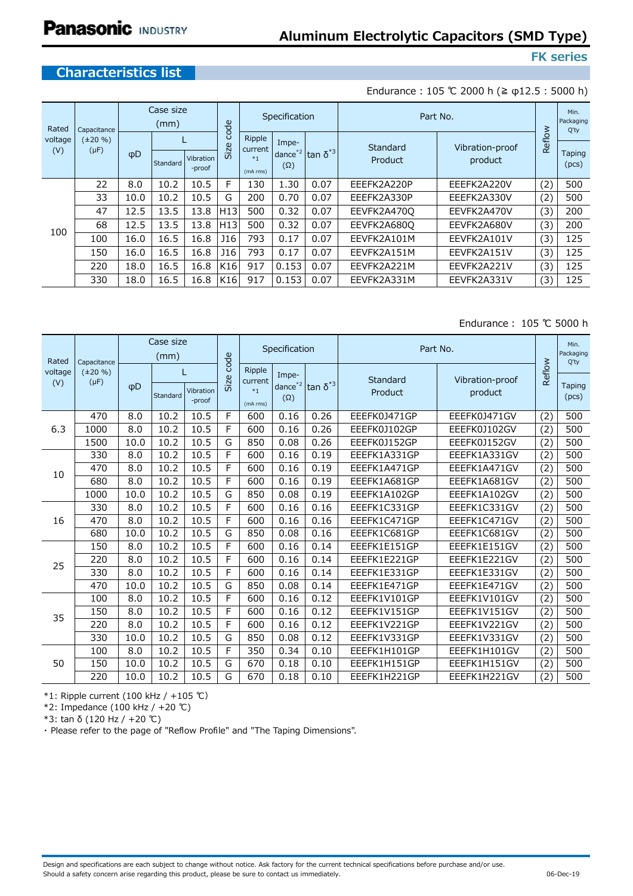#### **FK series**

# **Characteristics list**

Endurance : 105 ℃ 2000 h (≧ φ12.5 : 5000 h)

| Rated<br>Capacitance        |         | Case size<br>(mm) |          |                     | code                |                   | Specification                  |                                         | Part No.    |                 |        | Min.<br>Packaging<br>Q'ty |
|-----------------------------|---------|-------------------|----------|---------------------|---------------------|-------------------|--------------------------------|-----------------------------------------|-------------|-----------------|--------|---------------------------|
| voltage<br>$(\mu F)$<br>(V) | (±20 %) | $\phi$ D          |          |                     |                     | Ripple<br>current | Impe-                          |                                         | Standard    | Vibration-proof | Reflow |                           |
|                             |         |                   | Standard | Vibration<br>-proof | i<br>$\overline{u}$ | $*1$<br>(mA rms)  | $dance^{\ast 2}$<br>$(\Omega)$ | $\left\Vert \tan\delta^{*3}\right\Vert$ | Product     | product         |        | Taping<br>(pcs)           |
|                             | 22      | 8.0               | 10.2     | 10.5                | F                   | 130               | 1.30                           | 0.07                                    | EEEFK2A220P | EEEFK2A220V     | (2)    | 500                       |
|                             | 33      | 10.0              | 10.2     | 10.5                | G                   | 200               | 0.70                           | 0.07                                    | EEEFK2A330P | EEEFK2A330V     | (2)    | 500                       |
|                             | 47      | 12.5              | 13.5     | 13.8                | H <sub>13</sub>     | 500               | 0.32                           | 0.07                                    | EEVFK2A4700 | EEVFK2A470V     | (3)    | 200                       |
| 100                         | 68      | 12.5              | 13.5     | 13.8                | H <sub>13</sub>     | 500               | 0.32                           | 0.07                                    | EEVFK2A680O | EEVFK2A680V     | (3)    | 200                       |
|                             | 100     | 16.0              | 16.5     | 16.8                | J16                 | 793               | 0.17                           | 0.07                                    | EEVFK2A101M | EEVFK2A101V     | (3)    | 125                       |
|                             | 150     | 16.0              | 16.5     | 16.8                | J16                 | 793               | 0.17                           | 0.07                                    | EEVFK2A151M | EEVFK2A151V     | (3)    | 125                       |
|                             | 220     | 18.0              | 16.5     | 16.8                | K16                 | 917               | 0.153                          | 0.07                                    | EEVFK2A221M | EEVFK2A221V     | (3)    | 125                       |
|                             | 330     | 18.0              | 16.5     | 16.8                | K16                 | 917               | 0.153                          | 0.07                                    | EEVFK2A331M | EEVFK2A331V     | (3)    | 125                       |

#### Endurance: 105 ℃ 5000 h

| Rated                                        | Capacitance |          | Case size<br>(mm) |                     | code |                                          | Specification                           |               | Part No.            |                            | Min.<br>Packaging<br>Q'ty |                        |
|----------------------------------------------|-------------|----------|-------------------|---------------------|------|------------------------------------------|-----------------------------------------|---------------|---------------------|----------------------------|---------------------------|------------------------|
| voltage<br>$(\pm 20, 9)$<br>$(\mu F)$<br>(V) |             | $\phi$ D | L<br>Standard     | Vibration<br>-proof | Size | Ripple<br>current<br>$*_{1}$<br>(mA rms) | Impe-<br>$dance^{\ast 2}$<br>$(\Omega)$ | $\tan δ^{*3}$ | Standard<br>Product | Vibration-proof<br>product | Reflow                    | <b>Taping</b><br>(pcs) |
|                                              | 470         | 8.0      | 10.2              | 10.5                | F    | 600                                      | 0.16                                    | 0.26          | EEEFK0J471GP        | EEEFK0J471GV               | (2)                       | 500                    |
| 6.3                                          | 1000        | 8.0      | 10.2              | 10.5                | F    | 600                                      | 0.16                                    | 0.26          | EEEFK0J102GP        | EEEFK0J102GV               | (2)                       | 500                    |
|                                              | 1500        | 10.0     | 10.2              | 10.5                | G    | 850                                      | 0.08                                    | 0.26          | EEEFK0J152GP        | EEEFK0J152GV               | (2)                       | 500                    |
|                                              | 330         | 8.0      | 10.2              | 10.5                | F    | 600                                      | 0.16                                    | 0.19          | EEEFK1A331GP        | EEEFK1A331GV               | (2)                       | 500                    |
| 10                                           | 470         | 8.0      | 10.2              | 10.5                | F    | 600                                      | 0.16                                    | 0.19          | EEEFK1A471GP        | EEEFK1A471GV               | (2)                       | 500                    |
|                                              | 680         | 8.0      | 10.2              | 10.5                | F    | 600                                      | 0.16                                    | 0.19          | EEEFK1A681GP        | EEEFK1A681GV               | (2)                       | 500                    |
|                                              | 1000        | 10.0     | 10.2              | 10.5                | G    | 850                                      | 0.08                                    | 0.19          | EEEFK1A102GP        | EEEFK1A102GV               | (2)                       | 500                    |
|                                              | 330         | 8.0      | 10.2              | 10.5                | F    | 600                                      | 0.16                                    | 0.16          | EEEFK1C331GP        | EEEFK1C331GV               | (2)                       | 500                    |
| 16                                           | 470         | 8.0      | 10.2              | 10.5                | F    | 600                                      | 0.16                                    | 0.16          | EEEFK1C471GP        | EEEFK1C471GV               | (2)                       | 500                    |
|                                              | 680         | 10.0     | 10.2              | 10.5                | G    | 850                                      | 0.08                                    | 0.16          | EEEFK1C681GP        | EEEFK1C681GV               | (2)                       | 500                    |
|                                              | 150         | 8.0      | 10.2              | 10.5                | F    | 600                                      | 0.16                                    | 0.14          | EEEFK1E151GP        | EEEFK1E151GV               | (2)                       | 500                    |
| 25                                           | 220         | 8.0      | 10.2              | 10.5                | F    | 600                                      | 0.16                                    | 0.14          | EEEFK1E221GP        | EEEFK1E221GV               | (2)                       | 500                    |
|                                              | 330         | 8.0      | 10.2              | 10.5                | F    | 600                                      | 0.16                                    | 0.14          | EEEFK1E331GP        | EEEFK1E331GV               | (2)                       | 500                    |
|                                              | 470         | 10.0     | 10.2              | 10.5                | G    | 850                                      | 0.08                                    | 0.14          | EEEFK1E471GP        | EEEFK1E471GV               | (2)                       | 500                    |
|                                              | 100         | 8.0      | 10.2              | 10.5                | F    | 600                                      | 0.16                                    | 0.12          | EEEFK1V101GP        | EEEFK1V101GV               | (2)                       | 500                    |
| 35                                           | 150         | 8.0      | 10.2              | 10.5                | F    | 600                                      | 0.16                                    | 0.12          | EEEFK1V151GP        | EEEFK1V151GV               | (2)                       | 500                    |
|                                              | 220         | 8.0      | 10.2              | 10.5                | F    | 600                                      | 0.16                                    | 0.12          | EEEFK1V221GP        | EEEFK1V221GV               | (2)                       | 500                    |
|                                              | 330         | 10.0     | 10.2              | 10.5                | G    | 850                                      | 0.08                                    | 0.12          | EEEFK1V331GP        | EEEFK1V331GV               | (2)                       | 500                    |
|                                              | 100         | 8.0      | 10.2              | 10.5                | F    | 350                                      | 0.34                                    | 0.10          | EEEFK1H101GP        | EEEFK1H101GV               | (2)                       | 500                    |
| 50                                           | 150         | 10.0     | 10.2              | 10.5                | G    | 670                                      | 0.18                                    | 0.10          | EEEFK1H151GP        | EEEFK1H151GV               | (2)                       | 500                    |
|                                              | 220         | 10.0     | 10.2              | 10.5                | G    | 670                                      | 0.18                                    | 0.10          | EEEFK1H221GP        | EEEFK1H221GV               | (2)                       | 500                    |

\*1: Ripple current (100 kHz / +105 ℃)

\*2: Impedance (100 kHz / +20 ℃)

\*3: tan δ (120 Hz / +20 ℃)

・ Please refer to the page of "Reflow Profile" and "The Taping Dimensions".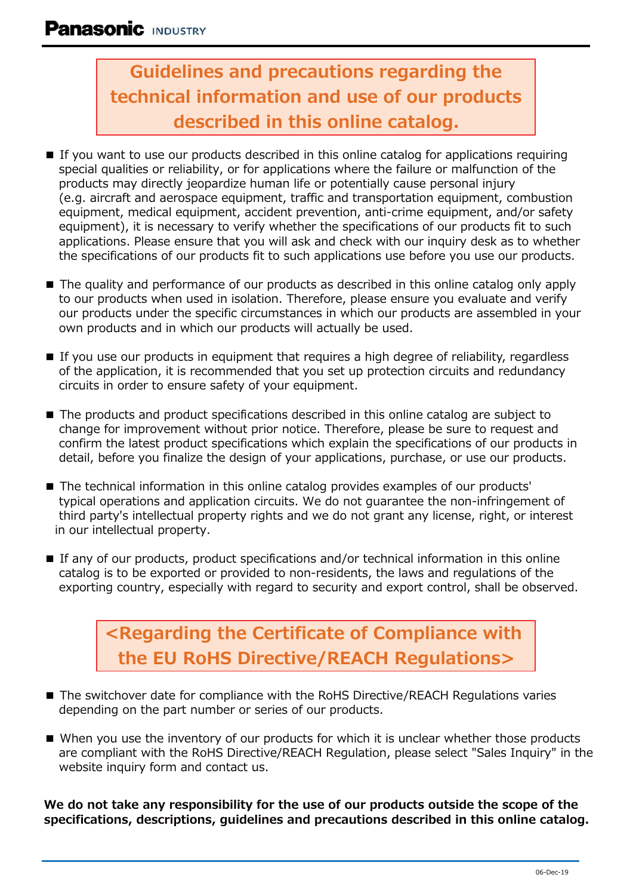# **Guidelines and precautions regarding the** technical information and use of our products described in this online catalog.

- If you want to use our products described in this online catalog for applications requiring special qualities or reliability, or for applications where the failure or malfunction of the products may directly jeopardize human life or potentially cause personal injury (e.g. aircraft and aerospace equipment, traffic and transportation equipment, combustion equipment, medical equipment, accident prevention, anti-crime equipment, and/or safety equipment), it is necessary to verify whether the specifications of our products fit to such applications. Please ensure that you will ask and check with our inquiry desk as to whether the specifications of our products fit to such applications use before you use our products.
- The quality and performance of our products as described in this online catalog only apply to our products when used in isolation. Therefore, please ensure you evaluate and verify our products under the specific circumstances in which our products are assembled in your own products and in which our products will actually be used.
- If you use our products in equipment that requires a high degree of reliability, regardless of the application, it is recommended that you set up protection circuits and redundancy circuits in order to ensure safety of your equipment.
- The products and product specifications described in this online catalog are subject to change for improvement without prior notice. Therefore, please be sure to request and confirm the latest product specifications which explain the specifications of our products in detail, before you finalize the design of your applications, purchase, or use our products.
- The technical information in this online catalog provides examples of our products' typical operations and application circuits. We do not quarantee the non-infringement of third party's intellectual property rights and we do not grant any license, right, or interest in our intellectual property.
- **If any of our products, product specifications and/or technical information in this online** catalog is to be exported or provided to non-residents, the laws and regulations of the exporting country, especially with regard to security and export control, shall be observed.

<Regarding the Certificate of Compliance with the EU RoHS Directive/REACH Regulations>

- The switchover date for compliance with the RoHS Directive/REACH Regulations varies depending on the part number or series of our products.
- When you use the inventory of our products for which it is unclear whether those products are compliant with the RoHS Directive/REACH Regulation, please select "Sales Inguiry" in the website inquiry form and contact us.

We do not take any responsibility for the use of our products outside the scope of the specifications, descriptions, quidelines and precautions described in this online catalog.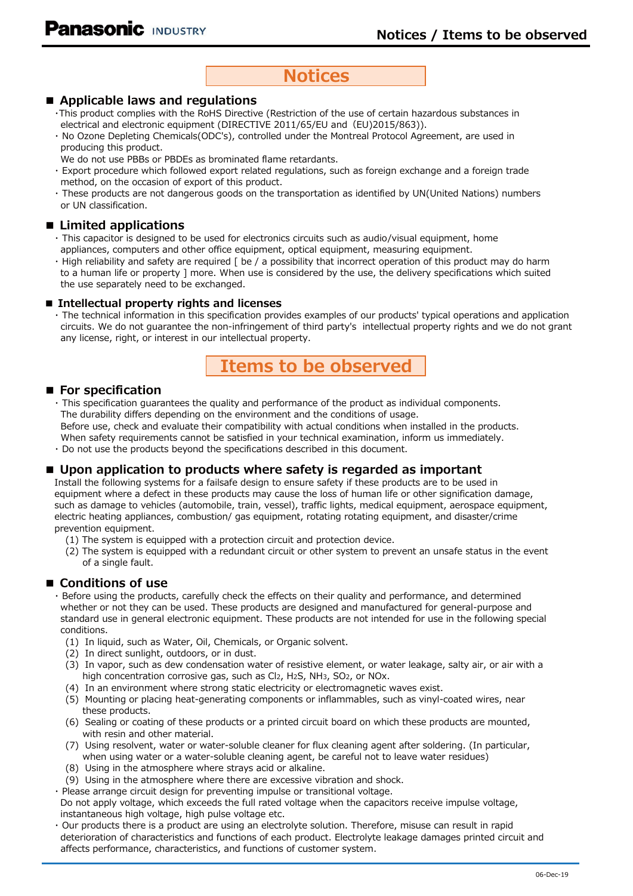

## Applicable laws and regulations

This product complies with the RoHS Directive (Restriction of the use of certain hazardous substances in electrical and electronic equipment (DIRECTIVE 2011/65/EU and (EU)2015/863)).

. No Ozone Depleting Chemicals (ODC's), controlled under the Montreal Protocol Agreement, are used in producing this product.

We do not use PBBs or PBDEs as brominated flame retardants.

- · Export procedure which followed export related requlations, such as foreign exchange and a foreign trade method, on the occasion of export of this product.
- · These products are not dangerous goods on the transportation as identified by UN(United Nations) numbers or UN classification.

#### ■ Limited applications

- · This capacitor is designed to be used for electronics circuits such as audio/visual equipment, home appliances, computers and other office equipment, optical equipment, measuring equipment.
- · High reliability and safety are required [ be / a possibility that incorrect operation of this product may do harm to a human life or property ] more. When use is considered by the use, the delivery specifications which suited the use separately need to be exchanged.

#### ■ Intellectual property rights and licenses

· The technical information in this specification provides examples of our products' typical operations and application circuits. We do not quarantee the non-infringement of third party's intellectual property rights and we do not grant any license, right, or interest in our intellectual property.

**Items to be observed** 

#### ■ For specification

· This specification quarantees the quality and performance of the product as individual components. The durability differs depending on the environment and the conditions of usage.

Before use, check and evaluate their compatibility with actual conditions when installed in the products.

When safety requirements cannot be satisfied in your technical examination, inform us immediately.

. Do not use the products beyond the specifications described in this document.

#### ■ Upon application to products where safety is regarded as important

Install the following systems for a failsafe design to ensure safety if these products are to be used in equipment where a defect in these products may cause the loss of human life or other signification damage, such as damage to vehicles (automobile, train, vessel), traffic lights, medical equipment, aerospace equipment, electric heating appliances, combustion/ gas equipment, rotating rotating equipment, and disaster/crime prevention equipment.

- (1) The system is equipped with a protection circuit and protection device.
- (2) The system is equipped with a redundant circuit or other system to prevent an unsafe status in the event of a single fault.

### ■ Conditions of use

· Before using the products, carefully check the effects on their quality and performance, and determined whether or not they can be used. These products are designed and manufactured for general-purpose and standard use in general electronic equipment. These products are not intended for use in the following special conditions.

- (1) In liquid, such as Water, Oil, Chemicals, or Organic solvent.
- (2) In direct sunlight, outdoors, or in dust.
- (3) In vapor, such as dew condensation water of resistive element, or water leakage, salty air, or air with a high concentration corrosive gas, such as Cl2, H2S, NH3, SO2, or NOx.
- (4) In an environment where strong static electricity or electromagnetic waves exist.
- (5) Mounting or placing heat-generating components or inflammables, such as vinyl-coated wires, near these products.
- (6) Sealing or coating of these products or a printed circuit board on which these products are mounted, with resin and other material.
- (7) Using resolvent, water or water-soluble cleaner for flux cleaning agent after soldering. (In particular, when using water or a water-soluble cleaning agent, be careful not to leave water residues)
- (8) Using in the atmosphere where strays acid or alkaline.
- (9) Using in the atmosphere where there are excessive vibration and shock.
- Please arrange circuit design for preventing impulse or transitional voltage.

Do not apply voltage, which exceeds the full rated voltage when the capacitors receive impulse voltage, instantaneous high voltage, high pulse voltage etc.

· Our products there is a product are using an electrolyte solution. Therefore, misuse can result in rapid deterioration of characteristics and functions of each product. Electrolyte leakage damages printed circuit and affects performance, characteristics, and functions of customer system.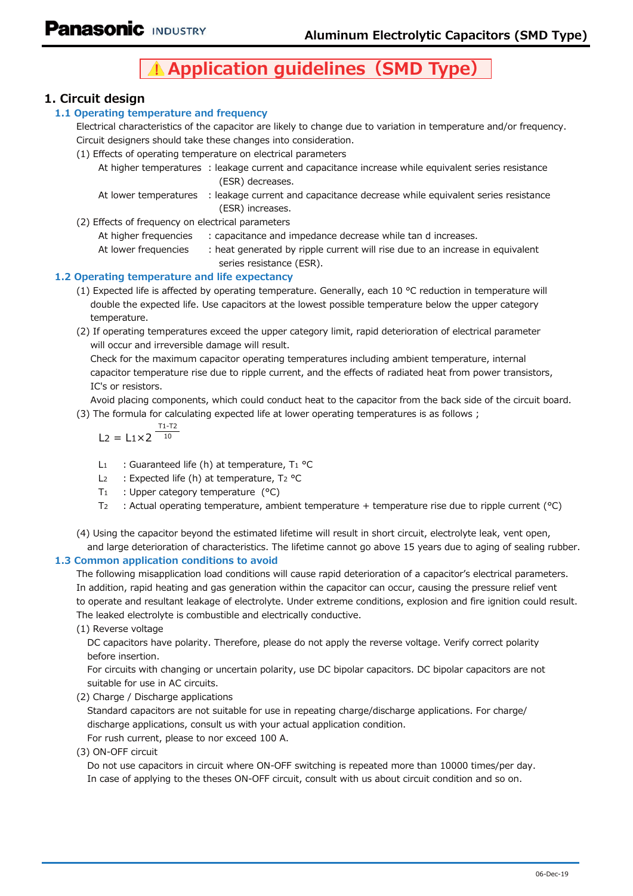# **A Application guidelines (SMD Type)**

# 1. Circuit design

#### 1.1 Operating temperature and frequency

Electrical characteristics of the capacitor are likely to change due to variation in temperature and/or frequency. Circuit designers should take these changes into consideration.

- (1) Effects of operating temperature on electrical parameters
	- At higher temperatures : leakage current and capacitance increase while equivalent series resistance (ESR) decreases.
	- At lower temperatures : leakage current and capacitance decrease while equivalent series resistance (ESR) increases.
- (2) Effects of frequency on electrical parameters

At higher frequencies : capacitance and impedance decrease while tan d increases.

At lower frequencies : heat generated by ripple current will rise due to an increase in equivalent series resistance (ESR).

#### 1.2 Operating temperature and life expectancy

- (1) Expected life is affected by operating temperature. Generally, each 10 °C reduction in temperature will double the expected life. Use capacitors at the lowest possible temperature below the upper category temperature.
- (2) If operating temperatures exceed the upper category limit, rapid deterioration of electrical parameter will occur and irreversible damage will result.

Check for the maximum capacitor operating temperatures including ambient temperature, internal capacitor temperature rise due to ripple current, and the effects of radiated heat from power transistors, IC's or resistors.

Avoid placing components, which could conduct heat to the capacitor from the back side of the circuit board.

(3) The formula for calculating expected life at lower operating temperatures is as follows;

$$
L_2 = L_1 \times 2^{-\frac{T_1 - T_2}{10}}
$$

- : Guaranteed life (h) at temperature, T1 °C  $L_1$
- : Expected life (h) at temperature, T2 °C  $L<sub>2</sub>$
- $T_1$ : Upper category temperature (°C)
- $T<sub>2</sub>$ : Actual operating temperature, ambient temperature + temperature rise due to ripple current (°C)
- (4) Using the capacitor beyond the estimated lifetime will result in short circuit, electrolyte leak, vent open, and large deterioration of characteristics. The lifetime cannot go above 15 years due to aging of sealing rubber.

#### 1.3 Common application conditions to avoid

The following misapplication load conditions will cause rapid deterioration of a capacitor's electrical parameters. In addition, rapid heating and gas generation within the capacitor can occur, causing the pressure relief vent to operate and resultant leakage of electrolyte. Under extreme conditions, explosion and fire ignition could result. The leaked electrolyte is combustible and electrically conductive.

(1) Reverse voltage

DC capacitors have polarity. Therefore, please do not apply the reverse voltage. Verify correct polarity before insertion.

For circuits with changing or uncertain polarity, use DC bipolar capacitors. DC bipolar capacitors are not suitable for use in AC circuits.

(2) Charge / Discharge applications

Standard capacitors are not suitable for use in repeating charge/discharge applications. For charge/ discharge applications, consult us with your actual application condition. For rush current, please to nor exceed 100 A.

(3) ON-OFF circuit

Do not use capacitors in circuit where ON-OFF switching is repeated more than 10000 times/per day. In case of applying to the theses ON-OFF circuit, consult with us about circuit condition and so on.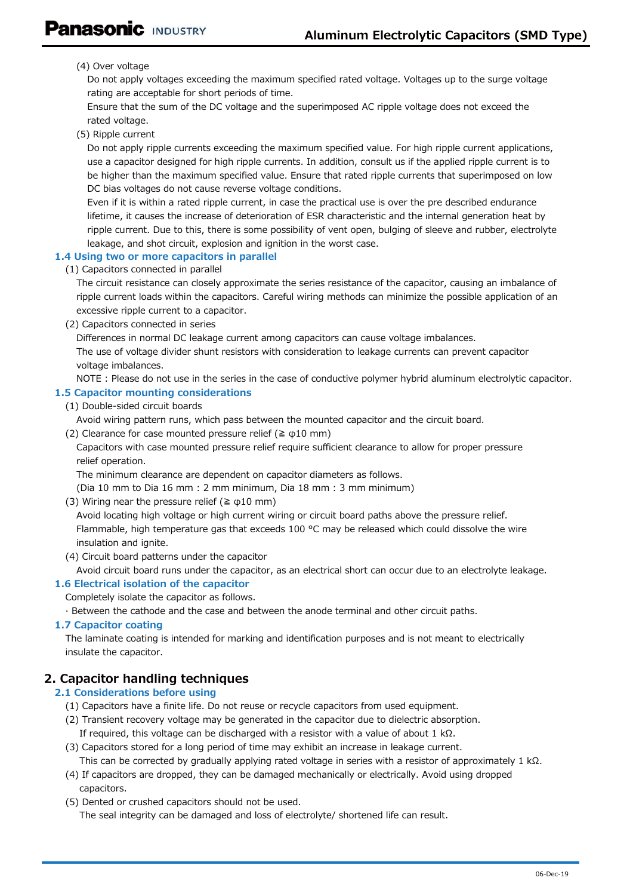#### (4) Over voltage

Do not apply voltages exceeding the maximum specified rated voltage. Voltages up to the surge voltage rating are acceptable for short periods of time.

Ensure that the sum of the DC voltage and the superimposed AC ripple voltage does not exceed the rated voltage.

(5) Ripple current

Do not apply ripple currents exceeding the maximum specified value. For high ripple current applications, use a capacitor designed for high ripple currents. In addition, consult us if the applied ripple current is to be higher than the maximum specified value. Ensure that rated ripple currents that superimposed on low DC bias voltages do not cause reverse voltage conditions.

Even if it is within a rated ripple current, in case the practical use is over the pre described endurance lifetime, it causes the increase of deterioration of ESR characteristic and the internal generation heat by ripple current. Due to this, there is some possibility of vent open, bulging of sleeve and rubber, electrolyte leakage, and shot circuit, explosion and ignition in the worst case.

#### 1.4 Using two or more capacitors in parallel

(1) Capacitors connected in parallel

The circuit resistance can closely approximate the series resistance of the capacitor, causing an imbalance of ripple current loads within the capacitors. Careful wiring methods can minimize the possible application of an excessive ripple current to a capacitor.

(2) Capacitors connected in series

Differences in normal DC leakage current among capacitors can cause voltage imbalances.

The use of voltage divider shunt resistors with consideration to leakage currents can prevent capacitor voltage imbalances.

NOTE: Please do not use in the series in the case of conductive polymer hybrid aluminum electrolytic capacitor.

#### 1.5 Capacitor mounting considerations

#### (1) Double-sided circuit boards

Avoid wiring pattern runs, which pass between the mounted capacitor and the circuit board.

(2) Clearance for case mounted pressure relief ( $\geq \varphi$ 10 mm)

Capacitors with case mounted pressure relief require sufficient clearance to allow for proper pressure relief operation.

The minimum clearance are dependent on capacitor diameters as follows.

(Dia 10 mm to Dia 16 mm : 2 mm minimum, Dia 18 mm : 3 mm minimum)

(3) Wiring near the pressure relief ( $\geq \varphi$ 10 mm)

Avoid locating high voltage or high current wiring or circuit board paths above the pressure relief. Flammable, high temperature gas that exceeds 100 °C may be released which could dissolve the wire insulation and jonite.

(4) Circuit board patterns under the capacitor

Avoid circuit board runs under the capacitor, as an electrical short can occur due to an electrolyte leakage.

#### 1.6 Electrical isolation of the capacitor

Completely isolate the capacitor as follows.

· Between the cathode and the case and between the anode terminal and other circuit paths.

#### 1.7 Capacitor coating

The laminate coating is intended for marking and identification purposes and is not meant to electrically insulate the capacitor.

## 2. Capacitor handling techniques

#### 2.1 Considerations before using

- (1) Capacitors have a finite life. Do not reuse or recycle capacitors from used equipment.
- (2) Transient recovery voltage may be generated in the capacitor due to dielectric absorption. If required, this voltage can be discharged with a resistor with a value of about 1  $k\Omega$ .
- (3) Capacitors stored for a long period of time may exhibit an increase in leakage current. This can be corrected by gradually applying rated voltage in series with a resistor of approximately 1  $k\Omega$ .
- (4) If capacitors are dropped, they can be damaged mechanically or electrically. Avoid using dropped capacitors.
- (5) Dented or crushed capacitors should not be used.

The seal integrity can be damaged and loss of electrolyte/ shortened life can result.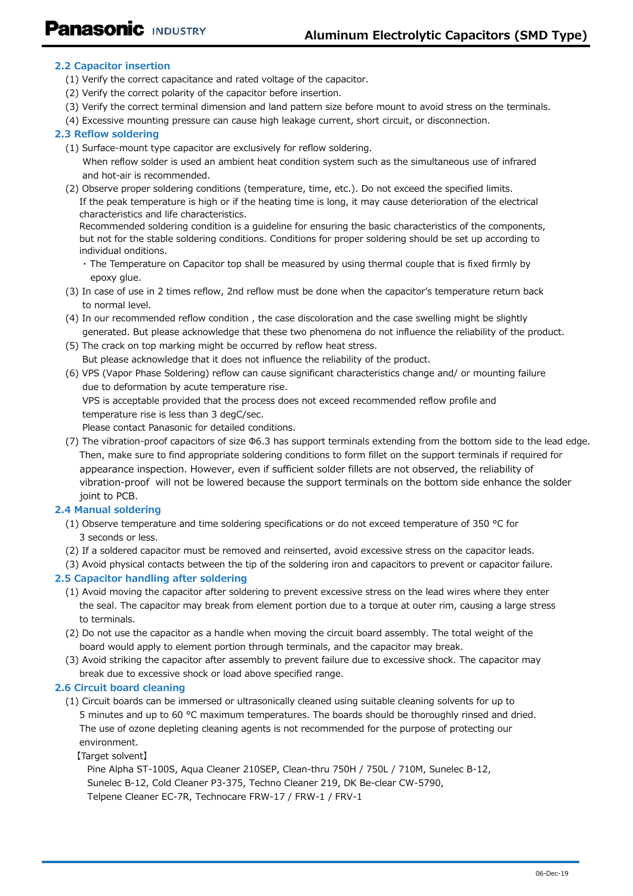#### **2.2 Capacitor insertion**

- (1) Verify the correct capacitance and rated voltage of the capacitor.
- (2) Verify the correct polarity of the capacitor before insertion.
- (3) Verify the correct terminal dimension and land pattern size before mount to avoid stress on the terminals.
- (4) Excessive mounting pressure can cause high leakage current, short circuit, or disconnection.

#### 2.3 Reflow soldering

(1) Surface-mount type capacitor are exclusively for reflow soldering.

When reflow solder is used an ambient heat condition system such as the simultaneous use of infrared and hot-air is recommended.

(2) Observe proper soldering conditions (temperature, time, etc.). Do not exceed the specified limits. If the peak temperature is high or if the heating time is long, it may cause deterioration of the electrical characteristics and life characteristics.

Recommended soldering condition is a guideline for ensuring the basic characteristics of the components, but not for the stable soldering conditions. Conditions for proper soldering should be set up according to individual onditions.

- · The Temperature on Capacitor top shall be measured by using thermal couple that is fixed firmly by epoxy glue.
- (3) In case of use in 2 times reflow, 2nd reflow must be done when the capacitor's temperature return back to normal level.
- (4) In our recommended reflow condition, the case discoloration and the case swelling might be slightly generated. But please acknowledge that these two phenomena do not influence the reliability of the product.
- (5) The crack on top marking might be occurred by reflow heat stress.

But please acknowledge that it does not influence the reliability of the product.

(6) VPS (Vapor Phase Soldering) reflow can cause significant characteristics change and/ or mounting failure due to deformation by acute temperature rise.

VPS is acceptable provided that the process does not exceed recommended reflow profile and temperature rise is less than 3 degC/sec.

Please contact Panasonic for detailed conditions.

(7) The vibration-proof capacitors of size  $\Phi$ 6.3 has support terminals extending from the bottom side to the lead edge. Then, make sure to find appropriate soldering conditions to form fillet on the support terminals if required for appearance inspection. However, even if sufficient solder fillets are not observed, the reliability of vibration-proof will not be lowered because the support terminals on the bottom side enhance the solder joint to PCB.

#### 2.4 Manual soldering

- (1) Observe temperature and time soldering specifications or do not exceed temperature of 350 °C for 3 seconds or less.
- (2) If a soldered capacitor must be removed and reinserted, avoid excessive stress on the capacitor leads.

(3) Avoid physical contacts between the tip of the soldering iron and capacitors to prevent or capacitor failure.

#### 2.5 Capacitor handling after soldering

- (1) Avoid moving the capacitor after soldering to prevent excessive stress on the lead wires where they enter the seal. The capacitor may break from element portion due to a torque at outer rim, causing a large stress to terminals.
- (2) Do not use the capacitor as a handle when moving the circuit board assembly. The total weight of the board would apply to element portion through terminals, and the capacitor may break.
- (3) Avoid striking the capacitor after assembly to prevent failure due to excessive shock. The capacitor may break due to excessive shock or load above specified range.

#### 2.6 Circuit board cleaning

(1) Circuit boards can be immersed or ultrasonically cleaned using suitable cleaning solvents for up to 5 minutes and up to 60 °C maximum temperatures. The boards should be thoroughly rinsed and dried. The use of ozone depleting cleaning agents is not recommended for the purpose of protecting our environment

[Target solvent]

Pine Alpha ST-100S, Aqua Cleaner 210SEP, Clean-thru 750H / 750L / 710M, Sunelec B-12, Sunelec B-12, Cold Cleaner P3-375, Techno Cleaner 219, DK Be-clear CW-5790, Telpene Cleaner EC-7R, Technocare FRW-17 / FRW-1 / FRV-1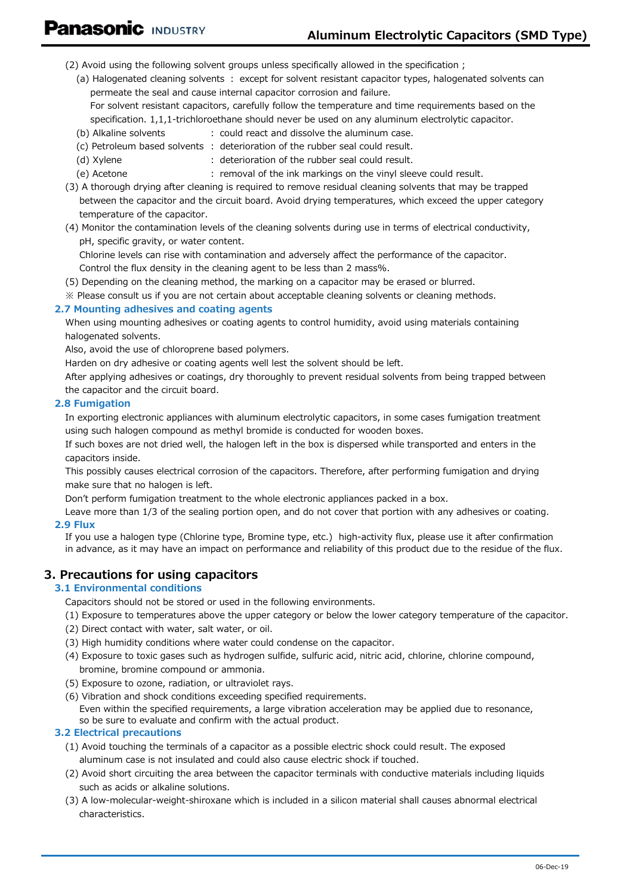- (2) Avoid using the following solvent groups unless specifically allowed in the specification;
	- (a) Halogenated cleaning solvents : except for solvent resistant capacitor types, halogenated solvents can permeate the seal and cause internal capacitor corrosion and failure. For solvent resistant capacitors, carefully follow the temperature and time requirements based on the specification. 1,1,1-trichloroethane should never be used on any aluminum electrolytic capacitor.
	- : could react and dissolve the aluminum case. (b) Alkaline solvents
	- (c) Petroleum based solvents : deterioration of the rubber seal could result.
	- : deterioration of the rubber seal could result. (d) Xylene
	- (e) Acetone : removal of the ink markings on the vinyl sleeve could result.
- (3) A thorough drying after cleaning is required to remove residual cleaning solvents that may be trapped between the capacitor and the circuit board. Avoid drying temperatures, which exceed the upper category temperature of the capacitor.
- (4) Monitor the contamination levels of the cleaning solvents during use in terms of electrical conductivity, pH, specific gravity, or water content.

Chlorine levels can rise with contamination and adversely affect the performance of the capacitor. Control the flux density in the cleaning agent to be less than 2 mass%.

- (5) Depending on the cleaning method, the marking on a capacitor may be erased or blurred.
- » Please consult us if you are not certain about acceptable cleaning solvents or cleaning methods.

#### 2.7 Mounting adhesives and coating agents

When using mounting adhesives or coating agents to control humidity, avoid using materials containing halogenated solvents.

Also, avoid the use of chloroprene based polymers.

Harden on dry adhesive or coating agents well lest the solvent should be left.

After applying adhesives or coatings, dry thoroughly to prevent residual solvents from being trapped between the capacitor and the circuit board.

#### **2.8 Fumigation**

In exporting electronic appliances with aluminum electrolytic capacitors, in some cases fumigation treatment using such halogen compound as methyl bromide is conducted for wooden boxes.

If such boxes are not dried well, the halogen left in the box is dispersed while transported and enters in the capacitors inside.

This possibly causes electrical corrosion of the capacitors. Therefore, after performing fumigation and drying make sure that no halogen is left.

Don't perform fumigation treatment to the whole electronic appliances packed in a box.

Leave more than 1/3 of the sealing portion open, and do not cover that portion with any adhesives or coating. 2.9 Flux

If you use a halogen type (Chlorine type, Bromine type, etc.) high-activity flux, please use it after confirmation in advance, as it may have an impact on performance and reliability of this product due to the residue of the flux.

#### 3. Precautions for using capacitors

#### **3.1 Environmental conditions**

Capacitors should not be stored or used in the following environments.

- (1) Exposure to temperatures above the upper category or below the lower category temperature of the capacitor.
- (2) Direct contact with water, salt water, or oil.
- (3) High humidity conditions where water could condense on the capacitor.
- (4) Exposure to toxic gases such as hydrogen sulfide, sulfuric acid, nitric acid, chlorine, chlorine compound, bromine, bromine compound or ammonia.
- (5) Exposure to ozone, radiation, or ultraviolet rays.
- (6) Vibration and shock conditions exceeding specified requirements.

Even within the specified requirements, a large vibration acceleration may be applied due to resonance, so be sure to evaluate and confirm with the actual product.

#### **3.2 Electrical precautions**

- (1) Avoid touching the terminals of a capacitor as a possible electric shock could result. The exposed aluminum case is not insulated and could also cause electric shock if touched.
- (2) Avoid short circuiting the area between the capacitor terminals with conductive materials including liquids such as acids or alkaline solutions.
- (3) A low-molecular-weight-shiroxane which is included in a silicon material shall causes abnormal electrical characteristics